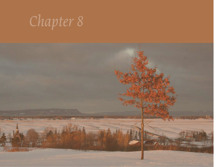

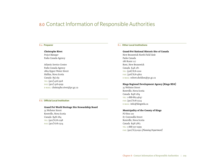# 8.0 Contact Information of Responsible Authorities

# 8.a. **Preparer**

# **Christophe Rivet**

*Project Manager* Parks Canada Agency

Atlantic Service Centre Parks Canada Agency 1869 Upper Water Street Halifax, Nova Scotia Canada B3J 1S9 TEL: (902) 426-5918 fax: (902) 426-9199 e-mail: christophe.rivet@pc.gc.ca

## 8.b. **Official Local Institution**

## **Grand Pré World Heritage Site Stewardship Board**

35 Webster Street Kentville, Nova Scotia Canada B4N 1H4 TEL: (902) 678-2298 fax: (902) 678-2324

# 8.c. **Other Local Institutions**

## **Grand-Pré National Historic Site of Canada**

New Brunswick North Field Unit Parks Canada 186 Route 117 Kent, New Brunswick Canada E4X 2P1 tel: (506) 876-1200 fax: (506) 876-4802 e-mail: robert.sheldon@pc.gc.ca

## **Kings Regional Development Agency (Kings RDA)**

35 Webster Street Kentville, Nova Scotia Canada B4N 1H4 TEL: 1-888-865-4647 fax: (902) 678-2324 e-mail: info@kingsrda.ca

## **Municipality of the County of Kings**

PO Box 100 87 Cornwallis Street Kentville, Nova Scotia Canada B4N 3W3 TEL: 1-888-337-2999 fax: (902) 679-0911 *(Planning Department)*